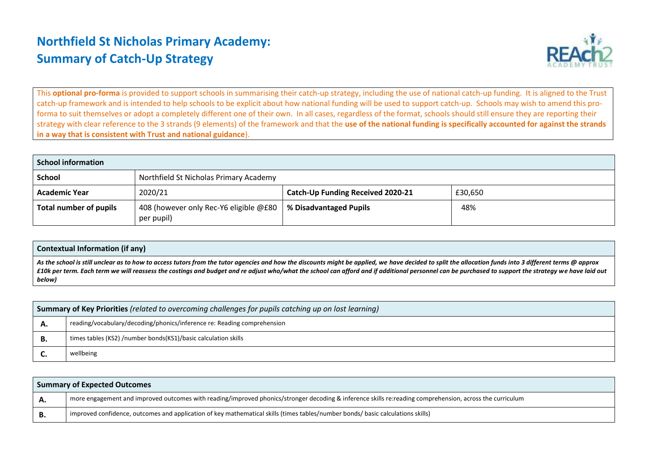## **Northfield St Nicholas Primary Academy: Summary of Catch-Up Strategy**



This **optional pro-forma** is provided to support schools in summarising their catch-up strategy, including the use of national catch-up funding. It is aligned to the Trust catch-up framework and is intended to help schools to be explicit about how national funding will be used to support catch-up. Schools may wish to amend this proforma to suit themselves or adopt a completely different one of their own. In all cases, regardless of the format, schools should still ensure they are reporting their strategy with clear reference to the 3 strands (9 elements) of the framework and that the **use of the national funding is specifically accounted for against the strands in a way that is consistent with Trust and national guidance**).

| School information     |                                                      |                                   |         |  |  |  |
|------------------------|------------------------------------------------------|-----------------------------------|---------|--|--|--|
| <b>School</b>          | Northfield St Nicholas Primary Academy               |                                   |         |  |  |  |
| <b>Academic Year</b>   | 2020/21                                              | Catch-Up Funding Received 2020-21 | £30,650 |  |  |  |
| Total number of pupils | 408 (however only Rec-Y6 eligible @£80<br>per pupil) | % Disadvantaged Pupils            | 48%     |  |  |  |

| <b>Contextual Information (if any)</b>                                                                                                                                                                                                                                                                                                                                                                                    |
|---------------------------------------------------------------------------------------------------------------------------------------------------------------------------------------------------------------------------------------------------------------------------------------------------------------------------------------------------------------------------------------------------------------------------|
| As the school is still unclear as to how to access tutors from the tutor agencies and how the discounts might be applied, we have decided to split the allocation funds into 3 different terms @ approx<br>£10k per term. Each term we will reassess the costings and budget and re adjust who/what the school can afford and if additional personnel can be purchased to support the strategy we have laid out<br>below) |
|                                                                                                                                                                                                                                                                                                                                                                                                                           |

|    | <b>Summary of Key Priorities</b> (related to overcoming challenges for pupils catching up on lost learning) |  |  |  |
|----|-------------------------------------------------------------------------------------------------------------|--|--|--|
| ∼. | reading/vocabulary/decoding/phonics/inference re: Reading comprehension                                     |  |  |  |
| в. | times tables (KS2) /number bonds(KS1)/basic calculation skills                                              |  |  |  |
|    | wellbeing                                                                                                   |  |  |  |

| <b>Summary of Expected Outcomes</b> |                                                                                                                                                          |  |  |  |
|-------------------------------------|----------------------------------------------------------------------------------------------------------------------------------------------------------|--|--|--|
| А.                                  | more engagement and improved outcomes with reading/improved phonics/stronger decoding & inference skills re:reading comprehension, across the curriculum |  |  |  |
|                                     | 'improved confidence, outcomes and application of key mathematical skills (times tables/number bonds/basic calculations skills)                          |  |  |  |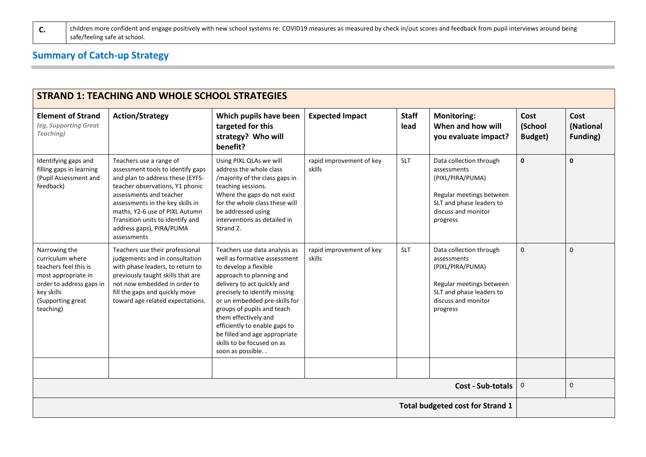## **Summary of Catch-up Strategy**

| <b>STRAND 1: TEACHING AND WHOLE SCHOOL STRATEGIES</b>                                                                                                         |                                                                                                                                                                                                                                                                                                                     |                                                                                                                                                                                                                                                                                                                                                                                               |                                    |                      |                                                                                                                                                       |                                   |                                      |
|---------------------------------------------------------------------------------------------------------------------------------------------------------------|---------------------------------------------------------------------------------------------------------------------------------------------------------------------------------------------------------------------------------------------------------------------------------------------------------------------|-----------------------------------------------------------------------------------------------------------------------------------------------------------------------------------------------------------------------------------------------------------------------------------------------------------------------------------------------------------------------------------------------|------------------------------------|----------------------|-------------------------------------------------------------------------------------------------------------------------------------------------------|-----------------------------------|--------------------------------------|
| <b>Element of Strand</b><br>(eg, Supporting Great<br><b>Teaching</b> )                                                                                        | <b>Action/Strategy</b>                                                                                                                                                                                                                                                                                              | Which pupils have been<br>targeted for this<br>strategy? Who will<br>benefit?                                                                                                                                                                                                                                                                                                                 | <b>Expected Impact</b>             | <b>Staff</b><br>lead | <b>Monitoring:</b><br>When and how will<br>you evaluate impact?                                                                                       | Cost<br>(School<br><b>Budget)</b> | Cost<br>(National<br><b>Funding)</b> |
| Identifying gaps and<br>filling gaps in learning<br>(Pupil Assessment and<br>feedback)                                                                        | Teachers use a range of<br>assessment tools to identify gaps<br>and plan to address these (EYFS-<br>teacher observations, Y1 phonic<br>assessments and teacher<br>assessments in the key skills in<br>maths, Y2-6 use of PIXL Autumn<br>Transition units to identify and<br>address gaps), PIRA/PUMA<br>assessments | Using PIXL QLAs we will<br>address the whole class<br>/majority of the class gaps in<br>teaching sessions.<br>Where the gaps do not exist<br>for the whole class these will<br>be addressed using<br>interventions as detailed in<br>Strand 2.                                                                                                                                                | rapid improvement of key<br>skills | <b>SLT</b>           | Data collection through<br>assessments<br>(PIXL/PIRA/PUMA)<br>Regular meetings between<br>SLT and phase leaders to<br>discuss and monitor<br>progress | $\mathbf{0}$                      | $\mathbf 0$                          |
| Narrowing the<br>curriculum where<br>teachers feel this is<br>most appropriate in<br>order to address gaps in<br>key skills<br>(Supporting great<br>teaching) | Teachers use their professional<br>judgements and in consultation<br>with phase leaders, to return to<br>previously taught skills that are<br>not now embedded in order to<br>fill the gaps and quickly move<br>toward age related expectations.                                                                    | Teachers use data analysis as<br>well as formative assessment<br>to develop a flexible<br>approach to planning and<br>delivery to act quickly and<br>precisely to identify missing<br>or un embedded pre-skills for<br>groups of pupils and teach<br>them effectively and<br>efficiently to enable gaps to<br>be filled and age appropriate<br>skills to be focused on as<br>soon as possible | rapid improvement of key<br>skills | <b>SLT</b>           | Data collection through<br>assessments<br>(PIXL/PIRA/PUMA)<br>Regular meetings between<br>SLT and phase leaders to<br>discuss and monitor<br>progress | $\Omega$                          | $\mathbf 0$                          |
|                                                                                                                                                               |                                                                                                                                                                                                                                                                                                                     |                                                                                                                                                                                                                                                                                                                                                                                               |                                    |                      |                                                                                                                                                       |                                   |                                      |
|                                                                                                                                                               |                                                                                                                                                                                                                                                                                                                     |                                                                                                                                                                                                                                                                                                                                                                                               |                                    |                      | <b>Cost - Sub-totals</b>                                                                                                                              | $\mathbf 0$                       | $\mathsf 0$                          |
| <b>Total budgeted cost for Strand 1</b>                                                                                                                       |                                                                                                                                                                                                                                                                                                                     |                                                                                                                                                                                                                                                                                                                                                                                               |                                    |                      |                                                                                                                                                       |                                   |                                      |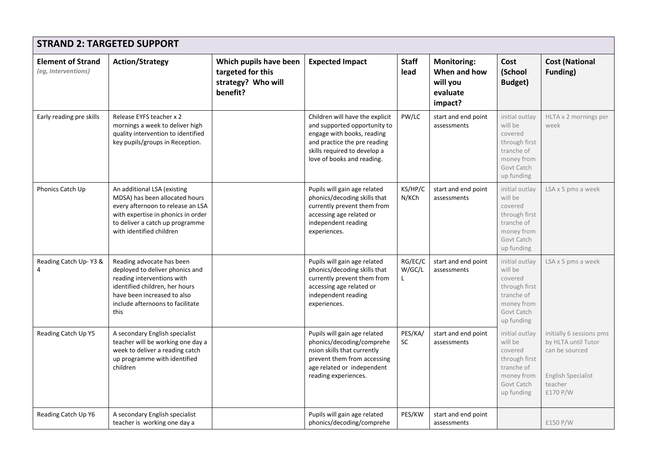| <b>STRAND 2: TARGETED SUPPORT</b>               |                                                                                                                                                                                                         |                                                                               |                                                                                                                                                                                             |                        |                                                                       |                                                                                                               |                                                                                                                       |
|-------------------------------------------------|---------------------------------------------------------------------------------------------------------------------------------------------------------------------------------------------------------|-------------------------------------------------------------------------------|---------------------------------------------------------------------------------------------------------------------------------------------------------------------------------------------|------------------------|-----------------------------------------------------------------------|---------------------------------------------------------------------------------------------------------------|-----------------------------------------------------------------------------------------------------------------------|
| <b>Element of Strand</b><br>(eg, Interventions) | <b>Action/Strategy</b>                                                                                                                                                                                  | Which pupils have been<br>targeted for this<br>strategy? Who will<br>benefit? | <b>Expected Impact</b>                                                                                                                                                                      | <b>Staff</b><br>lead   | <b>Monitoring:</b><br>When and how<br>will you<br>evaluate<br>impact? | Cost<br>(School<br><b>Budget)</b>                                                                             | <b>Cost (National</b><br>Funding)                                                                                     |
| Early reading pre skills                        | Release EYFS teacher x 2<br>mornings a week to deliver high<br>quality intervention to identified<br>key pupils/groups in Reception.                                                                    |                                                                               | Children will have the explicit<br>and supported opportunity to<br>engage with books, reading<br>and practice the pre reading<br>skills required to develop a<br>love of books and reading. | PW/LC                  | start and end point<br>assessments                                    | initial outlay<br>will be<br>covered<br>through first<br>tranche of<br>money from<br>Govt Catch<br>up funding | HLTA x 2 mornings per<br>week                                                                                         |
| Phonics Catch Up                                | An additional LSA (existing<br>MDSA) has been allocated hours<br>every afternoon to release an LSA<br>with expertise in phonics in order<br>to deliver a catch up programme<br>with identified children |                                                                               | Pupils will gain age related<br>phonics/decoding skills that<br>currently prevent them from<br>accessing age related or<br>independent reading<br>experiences.                              | KS/HP/C<br>N/KCh       | start and end point<br>assessments                                    | initial outlay<br>will be<br>covered<br>through first<br>tranche of<br>money from<br>Govt Catch<br>up funding | LSA x 5 pms a week                                                                                                    |
| Reading Catch Up-Y3 &                           | Reading advocate has been<br>deployed to deliver phonics and<br>reading interventions with<br>identified children, her hours<br>have been increased to also<br>include afternoons to facilitate<br>this |                                                                               | Pupils will gain age related<br>phonics/decoding skills that<br>currently prevent them from<br>accessing age related or<br>independent reading<br>experiences.                              | RG/EC/C<br>W/GC/L<br>L | start and end point<br>assessments                                    | initial outlay<br>will be<br>covered<br>through first<br>tranche of<br>money from<br>Govt Catch<br>up funding | LSA x 5 pms a week                                                                                                    |
| Reading Catch Up Y5                             | A secondary English specialist<br>teacher will be working one day a<br>week to deliver a reading catch<br>up programme with identified<br>children                                                      |                                                                               | Pupils will gain age related<br>phonics/decoding/comprehe<br>nsion skills that currently<br>prevent them from accessing<br>age related or independent<br>reading experiences.               | PES/KA/<br><b>SC</b>   | start and end point<br>assessments                                    | initial outlay<br>will be<br>covered<br>through first<br>tranche of<br>money from<br>Govt Catch<br>up funding | initially 6 sessions pms<br>by HLTA until Tutor<br>can be sourced<br><b>English Specialist</b><br>teacher<br>£170 P/W |
| Reading Catch Up Y6                             | A secondary English specialist<br>teacher is working one day a                                                                                                                                          |                                                                               | Pupils will gain age related<br>phonics/decoding/comprehe                                                                                                                                   | PES/KW                 | start and end point<br>assessments                                    |                                                                                                               | £150 P/W                                                                                                              |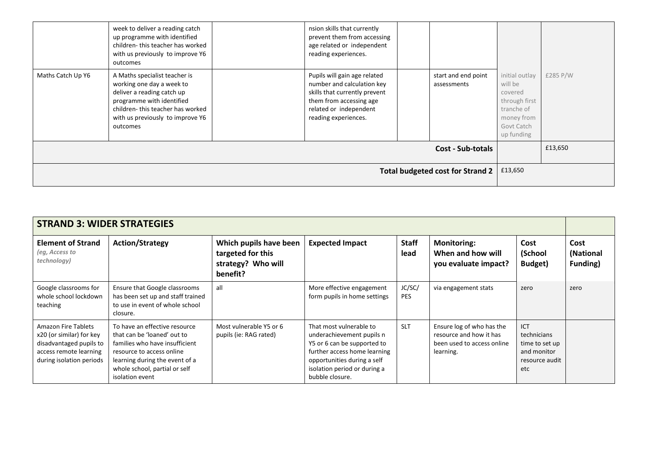|                                         | week to deliver a reading catch<br>up programme with identified<br>children-this teacher has worked<br>with us previously to improve Y6<br>outcomes                                                       |  | nsion skills that currently<br>prevent them from accessing<br>age related or independent<br>reading experiences.                                                         |  |                                    |                                                                                                               |          |
|-----------------------------------------|-----------------------------------------------------------------------------------------------------------------------------------------------------------------------------------------------------------|--|--------------------------------------------------------------------------------------------------------------------------------------------------------------------------|--|------------------------------------|---------------------------------------------------------------------------------------------------------------|----------|
| Maths Catch Up Y6                       | A Maths specialist teacher is<br>working one day a week to<br>deliver a reading catch up<br>programme with identified<br>children-this teacher has worked<br>with us previously to improve Y6<br>outcomes |  | Pupils will gain age related<br>number and calculation key<br>skills that currently prevent<br>them from accessing age<br>related or independent<br>reading experiences. |  | start and end point<br>assessments | initial outlay<br>will be<br>covered<br>through first<br>tranche of<br>money from<br>Govt Catch<br>up funding | £285 P/W |
| <b>Cost - Sub-totals</b>                |                                                                                                                                                                                                           |  |                                                                                                                                                                          |  |                                    | £13,650                                                                                                       |          |
| <b>Total budgeted cost for Strand 2</b> |                                                                                                                                                                                                           |  |                                                                                                                                                                          |  | £13,650                            |                                                                                                               |          |

| <b>STRAND 3: WIDER STRATEGIES</b>                                                                                                       |                                                                                                                                                                                                                   |                                                                               |                                                                                                                                                                                                       |                      |                                                                                                 |                                                                                     |                               |
|-----------------------------------------------------------------------------------------------------------------------------------------|-------------------------------------------------------------------------------------------------------------------------------------------------------------------------------------------------------------------|-------------------------------------------------------------------------------|-------------------------------------------------------------------------------------------------------------------------------------------------------------------------------------------------------|----------------------|-------------------------------------------------------------------------------------------------|-------------------------------------------------------------------------------------|-------------------------------|
| <b>Element of Strand</b><br>(eg, Access to<br>technology)                                                                               | <b>Action/Strategy</b>                                                                                                                                                                                            | Which pupils have been<br>targeted for this<br>strategy? Who will<br>benefit? | <b>Expected Impact</b>                                                                                                                                                                                | <b>Staff</b><br>lead | <b>Monitoring:</b><br>When and how will<br>you evaluate impact?                                 | Cost<br>(School<br>Budget)                                                          | Cost<br>(National<br>Funding) |
| Google classrooms for<br>whole school lockdown<br>teaching                                                                              | Ensure that Google classrooms<br>has been set up and staff trained<br>to use in event of whole school<br>closure.                                                                                                 | all                                                                           | More effective engagement<br>form pupils in home settings                                                                                                                                             | JC/SC/<br><b>PES</b> | via engagement stats                                                                            | zero                                                                                | zero                          |
| <b>Amazon Fire Tablets</b><br>x20 (or similar) for key<br>disadvantaged pupils to<br>access remote learning<br>during isolation periods | To have an effective resource<br>that can be 'loaned' out to<br>families who have insufficient<br>resource to access online<br>learning during the event of a<br>whole school, partial or self<br>isolation event | Most vulnerable Y5 or 6<br>pupils (ie: RAG rated)                             | That most vulnerable to<br>underachievement pupils n<br>Y5 or 6 can be supported to<br>further access home learning<br>opportunities during a self<br>isolation period or during a<br>bubble closure. | <b>SLT</b>           | Ensure log of who has the<br>resource and how it has<br>been used to access online<br>learning. | <b>ICT</b><br>technicians<br>time to set up<br>and monitor<br>resource audit<br>etc |                               |